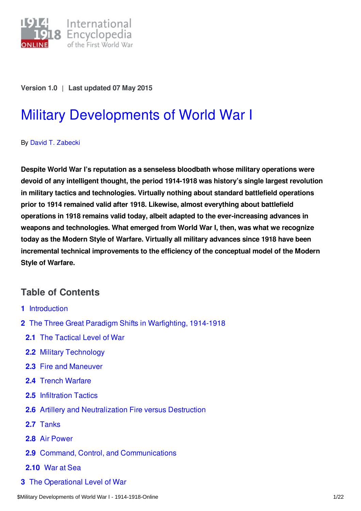

**Version 1.0** | **Last updated 07 May 2015**

# Military [Developments](https://encyclopedia.1914-1918-online.net/article/military_developments_of_world_war_i) of World War I

By David T. [Zabecki](https://encyclopedia.1914-1918-online.net/contributors/David_T._Zabecki)

**Despite World War I's reputation as a senseless bloodbath whose military operations were devoid of any intelligent thought, the period 1914-1918 was history's single largest revolution in military tactics and technologies. Virtually nothing about standard battlefield operations prior to 1914 remained valid after 1918. Likewise, almost everything about battlefield operations in 1918 remains valid today, albeit adapted to the ever-increasing advances in weapons and technologies. What emerged from World War I, then, was what we recognize today as the Modern Style of Warfare. Virtually all military advances since 1918 have been incremental technical improvements to the efficiency of the conceptual model of the Modern Style of Warfare.**

## **Table of Contents**

- **1** [Introduction](#page-1-0)
- **2** The Three Great Paradigm Shifts in [Warfighting,](#page-1-1) 1914-1918
	- **2.1** The [Tactical](#page-3-0) Level of War
	- **2.2** Military [Technology](#page-3-1)
	- **2.3** Fire and [Maneuver](#page-4-0)
	- **2.4** Trench [Warfare](#page-4-1)
	- **2.5** [Infiltration](#page-7-0) Tactics
	- **2.6** Artillery and [Neutralization](#page-8-0) Fire versus Destruction
	- **2.7** [Tanks](#page-11-0)
	- **2.8** Air [Power](#page-12-0)
	- **2.9** Command, Control, and [Communications](#page-13-0)
	- **[2.10](#page-14-0)** War at Sea
- **3** The [Operational](#page-15-0) Level of War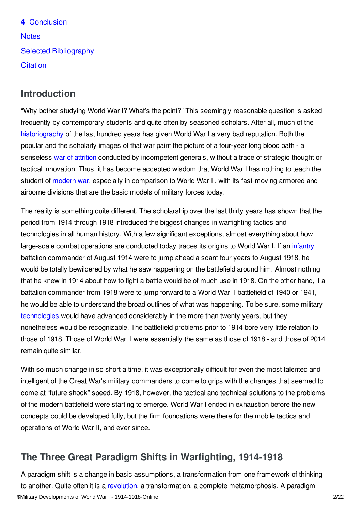**4** [Conclusion](#page-16-0) **[Notes](#page-17-0)** Selected [Bibliography](#page-19-0) **[Citation](#page-20-0)** 

# <span id="page-1-0"></span>**Introduction**

"Why bother studying World War I? What's the point?" This seemingly reasonable question is asked frequently by contemporary students and quite often by seasoned scholars. After all, much of the [historiography](/article/historiography_1918-today) of the last hundred years has given World War I a very bad reputation. Both the popular and the scholarly images of that war paint the picture of a four-year long blood bath - a senseless war of [attrition](/article/attrition_warfare) conducted by incompetent generals, without a trace of strategic thought or tactical innovation. Thus, it has become accepted wisdom that World War I has nothing to teach the student of [modern](/article/on_the_road_to_modern_war) war, especially in comparison to World War II, with its fast-moving armored and airborne divisions that are the basic models of military forces today.

The reality is something quite different. The scholarship over the last thirty years has shown that the period from 1914 through 1918 introduced the biggest changes in warfighting tactics and technologies in all human history. With a few significant exceptions, almost everything about how large-scale combat operations are conducted today traces its origins to World War I. If an [infantry](/article/infantry) battalion commander of August 1914 were to jump ahead a scant four years to August 1918, he would be totally bewildered by what he saw happening on the battlefield around him. Almost nothing that he knew in 1914 about how to fight a battle would be of much use in 1918. On the other hand, if a battalion commander from 1918 were to jump forward to a World War II battlefield of 1940 or 1941, he would be able to understand the broad outlines of what was happening. To be sure, some military [technologies](/article/science_and_technology) would have advanced considerably in the more than twenty years, but they nonetheless would be recognizable. The battlefield problems prior to 1914 bore very little relation to those of 1918. Those of World War II were essentially the same as those of 1918 - and those of 2014 remain quite similar.

With so much change in so short a time, it was exceptionally difficult for even the most talented and intelligent of the Great War's military commanders to come to grips with the changes that seemed to come at "future shock" speed. By 1918, however, the tactical and technical solutions to the problems of the modern battlefield were starting to emerge. World War I ended in exhaustion before the new concepts could be developed fully, but the firm foundations were there for the mobile tactics and operations of World War II, and ever since.

# <span id="page-1-1"></span>**The Three Great Paradigm Shifts in Warfighting, 1914-1918**

A paradigm shift is a change in basic assumptions, a transformation from one framework of thinking to another. Quite often it is a [revolution](/article/revolutions), a transformation, a complete metamorphosis. A paradigm \$Military Developments of World War I - 1914-1918-Online 2/22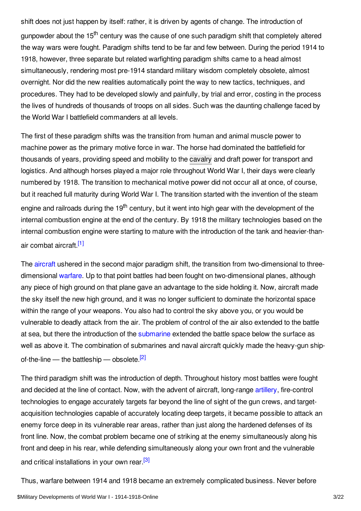shift does not just happen by itself: rather, it is driven by agents of change. The introduction of gunpowder about the 15<sup>th</sup> century was the cause of one such paradigm shift that completely altered the way wars were fought. Paradigm shifts tend to be far and few between. During the period 1914 to 1918, however, three separate but related warfighting paradigm shifts came to a head almost simultaneously, rendering most pre-1914 standard military wisdom completely obsolete, almost overnight. Nor did the new realities automatically point the way to new tactics, techniques, and procedures. They had to be developed slowly and painfully, by trial and error, costing in the process the lives of hundreds of thousands of troops on all sides. Such was the daunting challenge faced by the World War I battlefield commanders at all levels.

The first of these paradigm shifts was the transition from human and animal muscle power to machine power as the primary motive force in war. The horse had dominated the battlefield for thousands of years, providing speed and mobility to the [cavalry](/article/cavalry) and draft power for transport and logistics. And although horses played a major role throughout World War I, their days were clearly numbered by 1918. The transition to mechanical motive power did not occur all at once, of course, but it reached full maturity during World War I. The transition started with the invention of the steam engine and railroads during the 19<sup>th</sup> century, but it went into high gear with the development of the internal combustion engine at the end of the century. By 1918 the military technologies based on the internal combustion engine were starting to mature with the introduction of the tank and heavier-than-air combat aircraft.<sup>[\[1\]](#page-17-1)</sup>

<span id="page-2-0"></span>The [aircraft](/article/aircraft_fighter_and_pursuit) ushered in the second major paradigm shift, the transition from two-dimensional to threedimensional [warfare](/article/warfare_1914-1918). Up to that point battles had been fought on two-dimensional planes, although any piece of high ground on that plane gave an advantage to the side holding it. Now, aircraft made the sky itself the new high ground, and it was no longer sufficient to dominate the horizontal space within the range of your weapons. You also had to control the sky above you, or you would be vulnerable to deadly attack from the air. The problem of control of the air also extended to the battle at sea, but there the introduction of the [submarine](/article/submarines_and_submarine_warfare) extended the battle space below the surface as well as above it. The combination of submarines and naval aircraft quickly made the heavy-gun ship-of-the-line — the battleship — obsolete.<sup>[\[2\]](#page-17-2)</sup>

<span id="page-2-1"></span>The third paradigm shift was the introduction of depth. Throughout history most battles were fought and decided at the line of contact. Now, with the advent of aircraft, long-range [artillery](/article/artillery), fire-control technologies to engage accurately targets far beyond the line of sight of the gun crews, and targetacquisition technologies capable of accurately locating deep targets, it became possible to attack an enemy force deep in its vulnerable rear areas, rather than just along the hardened defenses of its front line. Now, the combat problem became one of striking at the enemy simultaneously along his front and deep in his rear, while defending simultaneously along your own front and the vulnerable and critical installations in your own rear.<sup>[\[3\]](#page-17-3)</sup>

<span id="page-2-2"></span>Thus, warfare between 1914 and 1918 became an extremely complicated business. Never before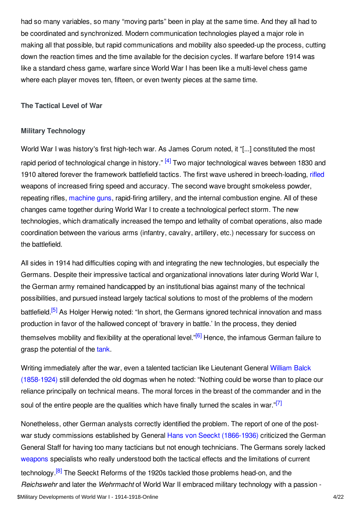had so many variables, so many "moving parts" been in play at the same time. And they all had to be coordinated and synchronized. Modern communication technologies played a major role in making all that possible, but rapid communications and mobility also speeded-up the process, cutting down the reaction times and the time available for the decision cycles. If warfare before 1914 was like a standard chess game, warfare since World War I has been like a multi-level chess game where each player moves ten, fifteen, or even twenty pieces at the same time.

#### <span id="page-3-0"></span>**The Tactical Level of War**

#### <span id="page-3-1"></span>**Military Technology**

<span id="page-3-2"></span>World War I was history's first high-tech war. As James Corum noted, it "[...] constituted the most rapid period of technological change in history." <sup>[\[4\]](#page-17-4)</sup> Two major technological waves between 1830 and 1910 altered forever the framework battlefield tactics. The first wave ushered in breech-loading, [rifled](/article/rifles) weapons of increased firing speed and accuracy. The second wave brought smokeless powder, repeating rifles, [machine](/article/machine_gun) guns, rapid-firing artillery, and the internal combustion engine. All of these changes came together during World War I to create a technological perfect storm. The new technologies, which dramatically increased the tempo and lethality of combat operations, also made coordination between the various arms (infantry, cavalry, artillery, etc.) necessary for success on the battlefield.

<span id="page-3-3"></span>All sides in 1914 had difficulties coping with and integrating the new technologies, but especially the Germans. Despite their impressive tactical and organizational innovations later during World War I, the German army remained handicapped by an institutional bias against many of the technical possibilities, and pursued instead largely tactical solutions to most of the problems of the modern battlefield.<sup>[\[5\]](#page-17-5)</sup> As Holger Herwig noted: "In short, the Germans ignored technical innovation and mass production in favor of the hallowed concept of 'bravery in battle.' In the process, they denied themselves mobility and flexibility at the operational level."<sup>[\[6\]](#page-17-6)</sup> Hence, the infamous German failure to grasp the potential of the [tank](/article/tanks_and_tank_warfare).

<span id="page-3-5"></span><span id="page-3-4"></span>Writing immediately after the war, even a talented tactician like Lieutenant General William Balck [\(1858-1924\)](/index/names/13731034X) still defended the old dogmas when he noted: "Nothing could be worse than to place our reliance principally on technical means. The moral forces in the breast of the commander and in the soul of the entire people are the qualities which have finally turned the scales in war."<sup>[\[7\]](#page-17-7)</sup>

<span id="page-3-6"></span>Nonetheless, other German analysts correctly identified the problem. The report of one of the post-war study commissions established by General Hans von Seeckt [\(1866-1936\)](/index/names/118612603) criticized the German General Staff for having too many tacticians but not enough technicians. The Germans sorely lacked [weapons](/article/weapons) specialists who really understood both the tactical effects and the limitations of current technology.<sup>[\[8\]](#page-17-8)</sup> The Seeckt Reforms of the 1920s tackled those problems head-on, and the *Reichswehr* and later the *Wehrmacht* of World War II embraced military technology with a passion - \$Military Developments of World War I - 1914-1918-Online 4/22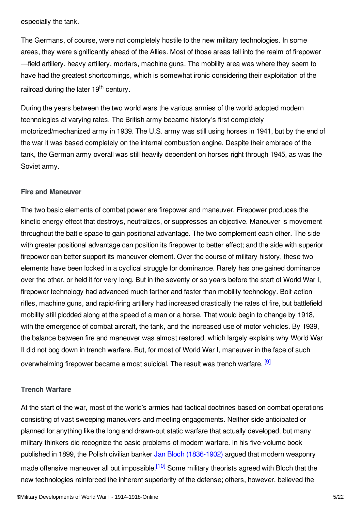especially the tank.

The Germans, of course, were not completely hostile to the new military technologies. In some areas, they were significantly ahead of the Allies. Most of those areas fell into the realm of firepower —field artillery, heavy artillery, mortars, machine guns. The mobility area was where they seem to have had the greatest shortcomings, which is somewhat ironic considering their exploitation of the railroad during the later 19<sup>th</sup> century.

During the years between the two world wars the various armies of the world adopted modern technologies at varying rates. The British army became history's first completely motorized/mechanized army in 1939. The U.S. army was still using horses in 1941, but by the end of the war it was based completely on the internal combustion engine. Despite their embrace of the tank, the German army overall was still heavily dependent on horses right through 1945, as was the Soviet army.

#### <span id="page-4-0"></span>**Fire and Maneuver**

The two basic elements of combat power are firepower and maneuver. Firepower produces the kinetic energy effect that destroys, neutralizes, or suppresses an objective. Maneuver is movement throughout the battle space to gain positional advantage. The two complement each other. The side with greater positional advantage can position its firepower to better effect; and the side with superior firepower can better support its maneuver element. Over the course of military history, these two elements have been locked in a cyclical struggle for dominance. Rarely has one gained dominance over the other, or held it for very long. But in the seventy or so years before the start of World War I, firepower technology had advanced much farther and faster than mobility technology. Bolt-action rifles, machine guns, and rapid-firing artillery had increased drastically the rates of fire, but battlefield mobility still plodded along at the speed of a man or a horse. That would begin to change by 1918, with the emergence of combat aircraft, the tank, and the increased use of motor vehicles. By 1939, the balance between fire and maneuver was almost restored, which largely explains why World War II did not bog down in trench warfare. But, for most of World War I, maneuver in the face of such overwhelming firepower became almost suicidal. The result was trench warfare. <sup>[\[9\]](#page-17-9)</sup>

#### <span id="page-4-2"></span><span id="page-4-1"></span>**Trench Warfare**

<span id="page-4-3"></span>At the start of the war, most of the world's armies had tactical doctrines based on combat operations consisting of vast sweeping maneuvers and meeting engagements. Neither side anticipated or planned for anything like the long and drawn-out static warfare that actually developed, but many military thinkers did recognize the basic problems of modern warfare. In his five-volume book published in 1899, the Polish civilian banker Jan Bloch [\(1836-1902\)](/index/names/120153297) argued that modern weaponry made offensive maneuver all but impossible.<sup>[\[10\]](#page-17-10)</sup> Some military theorists agreed with Bloch that the new technologies reinforced the inherent superiority of the defense; others, however, believed the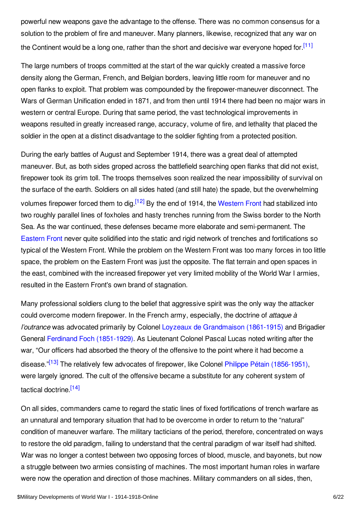powerful new weapons gave the advantage to the offense. There was no common consensus for a solution to the problem of fire and maneuver. Many planners, likewise, recognized that any war on the Continent would be a long one, rather than the short and decisive war everyone hoped for [\[11\]](#page-18-0)

<span id="page-5-0"></span>The large numbers of troops committed at the start of the war quickly created a massive force density along the German, French, and Belgian borders, leaving little room for maneuver and no open flanks to exploit. That problem was compounded by the firepower-maneuver disconnect. The Wars of German Unification ended in 1871, and from then until 1914 there had been no major wars in western or central Europe. During that same period, the vast technological improvements in weapons resulted in greatly increased range, accuracy, volume of fire, and lethality that placed the soldier in the open at a distinct disadvantage to the soldier fighting from a protected position.

<span id="page-5-1"></span>During the early battles of August and September 1914, there was a great deal of attempted maneuver. But, as both sides groped across the battlefield searching open flanks that did not exist, firepower took its grim toll. The troops themselves soon realized the near impossibility of survival on the surface of the earth. Soldiers on all sides hated (and still hate) the spade, but the overwhelming volumes firepower forced them to dig.<sup>[\[12\]](#page-18-1)</sup> By the end of 1914, the [Western](/article/western_front) Front had stabilized into two roughly parallel lines of foxholes and hasty trenches running from the Swiss border to the North Sea. As the war continued, these defenses became more elaborate and semi-permanent. The [Eastern](/article/eastern_front) Front never quite solidified into the static and rigid network of trenches and fortifications so typical of the Western Front. While the problem on the Western Front was too many forces in too little space, the problem on the Eastern Front was just the opposite. The flat terrain and open spaces in the east, combined with the increased firepower yet very limited mobility of the World War I armies, resulted in the Eastern Front's own brand of stagnation.

Many professional soldiers clung to the belief that aggressive spirit was the only way the attacker could overcome modern firepower. In the French army, especially, the doctrine of *attaque à l'outrance* was advocated primarily by Colonel Loyzeaux de [Grandmaison](/index/names/1055400257) (1861-1915) and Brigadier General Ferdinand Foch [\(1851-1929\)](/index/names/118684078). As Lieutenant Colonel Pascal Lucas noted writing after the war, "Our officers had absorbed the theory of the offensive to the point where it had become a disease."<sup>[\[13\]](#page-18-2)</sup> The relatively few advocates of firepower, like Colonel Philippe Pétain [\(1856-1951\)](/index/names/118740156), were largely ignored. The cult of the offensive became a substitute for any coherent system of tactical doctrine.<sup>[\[14\]](#page-18-3)</sup>

<span id="page-5-3"></span><span id="page-5-2"></span>On all sides, commanders came to regard the static lines of fixed fortifications of trench warfare as an unnatural and temporary situation that had to be overcome in order to return to the "natural" condition of maneuver warfare. The military tacticians of the period, therefore, concentrated on ways to restore the old paradigm, failing to understand that the central paradigm of war itself had shifted. War was no longer a contest between two opposing forces of blood, muscle, and bayonets, but now a struggle between two armies consisting of machines. The most important human roles in warfare were now the operation and direction of those machines. Military commanders on all sides, then,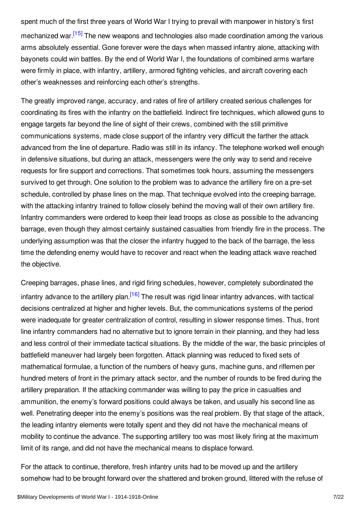<span id="page-6-0"></span>spent much of the first three years of World War I trying to prevail with manpower in history's first mechanized war.<sup>[\[15\]](#page-18-4)</sup> The new weapons and technologies also made coordination among the various arms absolutely essential. Gone forever were the days when massed infantry alone, attacking with bayonets could win battles. By the end of World War I, the foundations of combined arms warfare were firmly in place, with infantry, artillery, armored fighting vehicles, and aircraft covering each other's weaknesses and reinforcing each other's strengths.

The greatly improved range, accuracy, and rates of fire of artillery created serious challenges for coordinating its fires with the infantry on the battlefield. Indirect fire techniques, which allowed guns to engage targets far beyond the line of sight of their crews, combined with the still primitive communications systems, made close support of the infantry very difficult the farther the attack advanced from the line of departure. Radio was still in its infancy. The telephone worked well enough in defensive situations, but during an attack, messengers were the only way to send and receive requests for fire support and corrections. That sometimes took hours, assuming the messengers survived to get through. One solution to the problem was to advance the artillery fire on a pre-set schedule, controlled by phase lines on the map. That technique evolved into the creeping barrage, with the attacking infantry trained to follow closely behind the moving wall of their own artillery fire. Infantry commanders were ordered to keep their lead troops as close as possible to the advancing barrage, even though they almost certainly sustained casualties from friendly fire in the process. The underlying assumption was that the closer the infantry hugged to the back of the barrage, the less time the defending enemy would have to recover and react when the leading attack wave reached the objective.

<span id="page-6-1"></span>Creeping barrages, phase lines, and rigid firing schedules, however, completely subordinated the infantry advance to the artillery plan.<sup>[\[16\]](#page-18-5)</sup> The result was rigid linear infantry advances, with tactical decisions centralized at higher and higher levels. But, the communications systems of the period were inadequate for greater centralization of control, resulting in slower response times. Thus, front line infantry commanders had no alternative but to ignore terrain in their planning, and they had less and less control of their immediate tactical situations. By the middle of the war, the basic principles of battlefield maneuver had largely been forgotten. Attack planning was reduced to fixed sets of mathematical formulae, a function of the numbers of heavy guns, machine guns, and riflemen per hundred meters of front in the primary attack sector, and the number of rounds to be fired during the artillery preparation. If the attacking commander was willing to pay the price in casualties and ammunition, the enemy's forward positions could always be taken, and usually his second line as well. Penetrating deeper into the enemy's positions was the real problem. By that stage of the attack, the leading infantry elements were totally spent and they did not have the mechanical means of mobility to continue the advance. The supporting artillery too was most likely firing at the maximum limit of its range, and did not have the mechanical means to displace forward.

For the attack to continue, therefore, fresh infantry units had to be moved up and the artillery somehow had to be brought forward over the shattered and broken ground, littered with the refuse of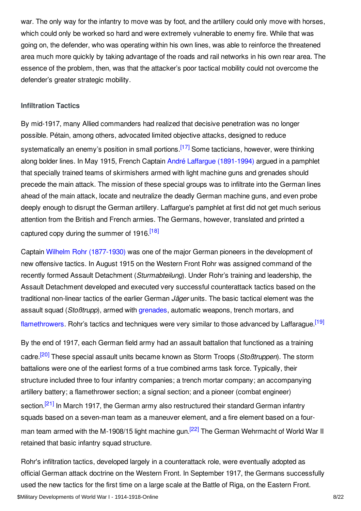war. The only way for the infantry to move was by foot, and the artillery could only move with horses, which could only be worked so hard and were extremely vulnerable to enemy fire. While that was going on, the defender, who was operating within his own lines, was able to reinforce the threatened area much more quickly by taking advantage of the roads and rail networks in his own rear area. The essence of the problem, then, was that the attacker's poor tactical mobility could not overcome the defender's greater strategic mobility.

#### <span id="page-7-0"></span>**Infiltration Tactics**

<span id="page-7-1"></span>By mid-1917, many Allied commanders had realized that decisive penetration was no longer possible. Pétain, among others, advocated limited objective attacks, designed to reduce systematically an enemy's position in small portions.<sup>[\[17\]](#page-18-6)</sup> Some tacticians, however, were thinking along bolder lines. In May 1915, French Captain André Laffargue [\(1891-1994\)](/index/names/126678464) argued in a pamphlet that specially trained teams of skirmishers armed with light machine guns and grenades should precede the main attack. The mission of these special groups was to infiltrate into the German lines ahead of the main attack, locate and neutralize the deadly German machine guns, and even probe deeply enough to disrupt the German artillery. Laffargue's pamphlet at first did not get much serious attention from the British and French armies. The Germans, however, translated and printed a captured copy during the summer of 1916.<sup>[\[18\]](#page-18-7)</sup>

<span id="page-7-2"></span>Captain Wilhelm Rohr [\(1877-1930\)](/index/names/1070596922) was one of the major German pioneers in the development of new offensive tactics. In August 1915 on the Western Front Rohr was assigned command of the recently formed Assault Detachment (*Sturmabteilung*). Under Rohr's training and leadership, the Assault Detachment developed and executed very successful counterattack tactics based on the traditional non-linear tactics of the earlier German *Jäger* units. The basic tactical element was the assault squad (*Stoßtrupp*), armed with [grenades](/article/hand_grenade), automatic weapons, trench mortars, and [flamethrowers](/article/flamethrower). Rohr's tactics and techniques were very similar to those advanced by Laffarague.<sup>[\[19\]](#page-18-8)</sup>

<span id="page-7-5"></span><span id="page-7-4"></span><span id="page-7-3"></span>By the end of 1917, each German field army had an assault battalion that functioned as a training cadre. [\[20\]](#page-18-9) These special assault units became known as Storm Troops (*Stoßtruppen*). The storm battalions were one of the earliest forms of a true combined arms task force. Typically, their structure included three to four infantry companies; a trench mortar company; an accompanying artillery battery; a flamethrower section; a signal section; and a pioneer (combat engineer) section.<sup>[\[21\]](#page-18-10)</sup> In March 1917, the German army also restructured their standard German infantry squads based on a seven-man team as a maneuver element, and a fire element based on a four-man team armed with the M-1908/15 light machine gun.<sup>[\[22\]](#page-18-11)</sup> The German Wehrmacht of World War II retained that basic infantry squad structure.

<span id="page-7-6"></span>Rohr's infiltration tactics, developed largely in a counterattack role, were eventually adopted as official German attack doctrine on the Western Front. In September 1917, the Germans successfully used the new tactics for the first time on a large scale at the Battle of Riga, on the Eastern Front. \$Military Developments of World War I - 1914-1918-Online 8/22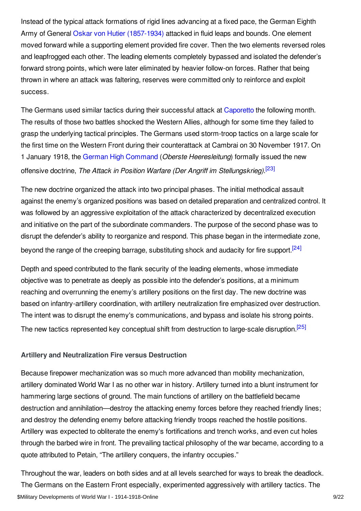Instead of the typical attack formations of rigid lines advancing at a fixed pace, the German Eighth Army of General Oskar von Hutier [\(1857-1934\)](/index/names/127949240) attacked in fluid leaps and bounds. One element moved forward while a supporting element provided fire cover. Then the two elements reversed roles and leapfrogged each other. The leading elements completely bypassed and isolated the defender's forward strong points, which were later eliminated by heavier follow-on forces. Rather that being thrown in where an attack was faltering, reserves were committed only to reinforce and exploit success.

The Germans used similar tactics during their successful attack at [Caporetto](/article/caporetto_battle_of) the following month. The results of those two battles shocked the Western Allies, although for some time they failed to grasp the underlying tactical principles. The Germans used storm-troop tactics on a large scale for the first time on the Western Front during their counterattack at Cambrai on 30 November 1917. On 1 January 1918, the German High [Command](/article/oberste_heeresleitung_ohl) (*Oberste Heeresleitung*) formally issued the new offensive doctrine, *The Attack in Position Warfare (Der Angriff im Stellungskrieg)*. [\[23\]](#page-18-12)

<span id="page-8-1"></span>The new doctrine organized the attack into two principal phases. The initial methodical assault against the enemy's organized positions was based on detailed preparation and centralized control. It was followed by an aggressive exploitation of the attack characterized by decentralized execution and initiative on the part of the subordinate commanders. The purpose of the second phase was to disrupt the defender's ability to reorganize and respond. This phase began in the intermediate zone, beyond the range of the creeping barrage, substituting shock and audacity for fire support.<sup>[\[24\]](#page-18-13)</sup>

<span id="page-8-2"></span>Depth and speed contributed to the flank security of the leading elements, whose immediate objective was to penetrate as deeply as possible into the defender's positions, at a minimum reaching and overrunning the enemy's artillery positions on the first day. The new doctrine was based on infantry-artillery coordination, with artillery neutralization fire emphasized over destruction. The intent was to disrupt the enemy's communications, and bypass and isolate his strong points. The new tactics represented key conceptual shift from destruction to large-scale disruption.<sup>[\[25\]](#page-18-14)</sup>

#### <span id="page-8-3"></span><span id="page-8-0"></span>**Artillery and Neutralization Fire versus Destruction**

Because firepower mechanization was so much more advanced than mobility mechanization, artillery dominated World War I as no other war in history. Artillery turned into a blunt instrument for hammering large sections of ground. The main functions of artillery on the battlefield became destruction and annihilation—destroy the attacking enemy forces before they reached friendly lines; and destroy the defending enemy before attacking friendly troops reached the hostile positions. Artillery was expected to obliterate the enemy's fortifications and trench works, and even cut holes through the barbed wire in front. The prevailing tactical philosophy of the war became, according to a quote attributed to Petain, "The artillery conquers, the infantry occupies."

Throughout the war, leaders on both sides and at all levels searched for ways to break the deadlock. The Germans on the Eastern Front especially, experimented aggressively with artillery tactics. The \$Military Developments of World War I - 1914-1918-Online 9/22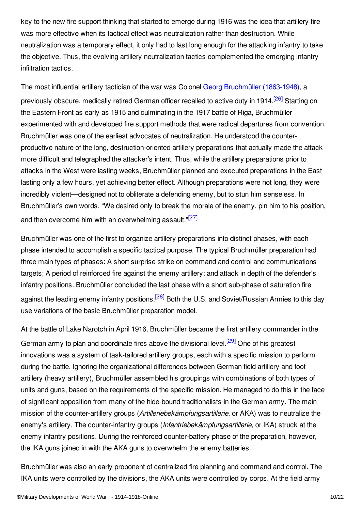key to the new fire support thinking that started to emerge during 1916 was the idea that artillery fire was more effective when its tactical effect was neutralization rather than destruction. While neutralization was a temporary effect, it only had to last long enough for the attacking infantry to take the objective. Thus, the evolving artillery neutralization tactics complemented the emerging infantry infiltration tactics.

<span id="page-9-0"></span>The most influential artillery tactician of the war was Colonel Georg [Bruchmüller](/index/names/119393735) (1863-1948), a previously obscure, medically retired German officer recalled to active duty in 1914.<sup>[\[26\]](#page-18-15)</sup> Starting on the Eastern Front as early as 1915 and culminating in the 1917 battle of Riga, Bruchmüller experimented with and developed fire support methods that were radical departures from convention. Bruchmüller was one of the earliest advocates of neutralization. He understood the counterproductive nature of the long, destruction-oriented artillery preparations that actually made the attack more difficult and telegraphed the attacker's intent. Thus, while the artillery preparations prior to attacks in the West were lasting weeks, Bruchmüller planned and executed preparations in the East lasting only a few hours, yet achieving better effect. Although preparations were not long, they were incredibly violent—designed not to obliterate a defending enemy, but to stun him senseless. In Bruchmüller's own words, "We desired only to break the morale of the enemy, pin him to his position, and then overcome him with an overwhelming assault."<sup>[\[27\]](#page-18-16)</sup>

<span id="page-9-1"></span>Bruchmüller was one of the first to organize artillery preparations into distinct phases, with each phase intended to accomplish a specific tactical purpose. The typical Bruchmüller preparation had three main types of phases: A short surprise strike on command and control and communications targets; A period of reinforced fire against the enemy artillery; and attack in depth of the defender's infantry positions. Bruchmüller concluded the last phase with a short sub-phase of saturation fire against the leading enemy infantry positions.<sup>[\[28\]](#page-18-17)</sup> Both the U.S. and Soviet/Russian Armies to this day use variations of the basic Bruchmüller preparation model.

<span id="page-9-3"></span><span id="page-9-2"></span>At the battle of Lake Narotch in April 1916, Bruchmüller became the first artillery commander in the German army to plan and coordinate fires above the divisional level.<sup>[\[29\]](#page-18-18)</sup> One of his greatest innovations was a system of task-tailored artillery groups, each with a specific mission to perform during the battle. Ignoring the organizational differences between German field artillery and foot artillery (heavy artillery), Bruchmüller assembled his groupings with combinations of both types of units and guns, based on the requirements of the specific mission. He managed to do this in the face of significant opposition from many of the hide-bound traditionalists in the German army. The main mission of the counter-artillery groups (*Artilleriebekämpfungsartillerie*, or AKA) was to neutralize the enemy's artillery. The counter-infantry groups (*Infantriebekämpfungsartillerie*, or IKA) struck at the enemy infantry positions. During the reinforced counter-battery phase of the preparation, however, the IKA guns joined in with the AKA guns to overwhelm the enemy batteries.

Bruchmüller was also an early proponent of centralized fire planning and command and control. The IKA units were controlled by the divisions, the AKA units were controlled by corps. At the field army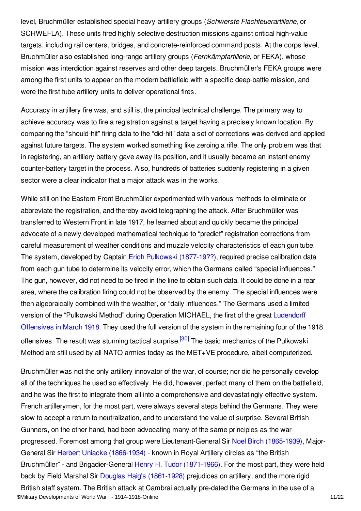level, Bruchmüller established special heavy artillery groups (*Schwerste Flachfeuerartillerie*, or SCHWEFLA). These units fired highly selective destruction missions against critical high-value targets, including rail centers, bridges, and concrete-reinforced command posts. At the corps level, Bruchmüller also established long-range artillery groups (*Fernkämpfartillerie*, or FEKA), whose mission was interdiction against reserves and other deep targets. Bruchmüller's FEKA groups were among the first units to appear on the modern battlefield with a specific deep-battle mission, and were the first tube artillery units to deliver operational fires.

Accuracy in artillery fire was, and still is, the principal technical challenge. The primary way to achieve accuracy was to fire a registration against a target having a precisely known location. By comparing the "should-hit" firing data to the "did-hit" data a set of corrections was derived and applied against future targets. The system worked something like zeroing a rifle. The only problem was that in registering, an artillery battery gave away its position, and it usually became an instant enemy counter-battery target in the process. Also, hundreds of batteries suddenly registering in a given sector were a clear indicator that a major attack was in the works.

While still on the Eastern Front Bruchmüller experimented with various methods to eliminate or abbreviate the registration, and thereby avoid telegraphing the attack. After Bruchmüller was transferred to Western Front in late 1917, he learned about and quickly became the principal advocate of a newly developed mathematical technique to "predict" registration corrections from careful measurement of weather conditions and muzzle velocity characteristics of each gun tube. The system, developed by Captain Erich Pulkowski [\(1877-19??\)](/index/names/1070597449), required precise calibration data from each gun tube to determine its velocity error, which the Germans called "special influences." The gun, however, did not need to be fired in the line to obtain such data. It could be done in a rear area, where the calibration firing could not be observed by the enemy. The special influences were then algebraically combined with the weather, or "daily influences." The Germans used a limited version of the ["Pulkowski](/article/german_spring_offensives_1918) Method" during Operation MICHAEL, the first of the great Ludendorff Offensives in March 1918. They used the full version of the system in the remaining four of the 1918 offensives. The result was stunning tactical surprise.<sup>[\[30\]](#page-18-19)</sup> The basic mechanics of the Pulkowski Method are still used by all NATO armies today as the MET+VE procedure, albeit computerized.

<span id="page-10-0"></span>Bruchmüller was not the only artillery innovator of the war, of course; nor did he personally develop all of the techniques he used so effectively. He did, however, perfect many of them on the battlefield, and he was the first to integrate them all into a comprehensive and devastatingly effective system. French artillerymen, for the most part, were always several steps behind the Germans. They were slow to accept a return to neutralization, and to understand the value of surprise. Several British Gunners, on the other hand, had been advocating many of the same principles as the war progressed. Foremost among that group were Lieutenant-General Sir Noel Birch [\(1865-1939\)](/index/names/1070598046), Major-General Sir Herbert Uniacke [\(1866-1934\)](/index/names/1070598356) - known in Royal Artillery circles as "the British Bruchmüller" - and Brigadier-General Henry H. Tudor [\(1871-1966\)](/index/names/1070598631). For the most part, they were held back by Field Marshal Sir Douglas Haig's [\(1861-1928\)](/index/names/119023342) prejudices on artillery, and the more rigid British staff system. The British attack at Cambrai actually pre-dated the Germans in the use of a \$Military Developments of World War I - 1914-1918-Online 11/22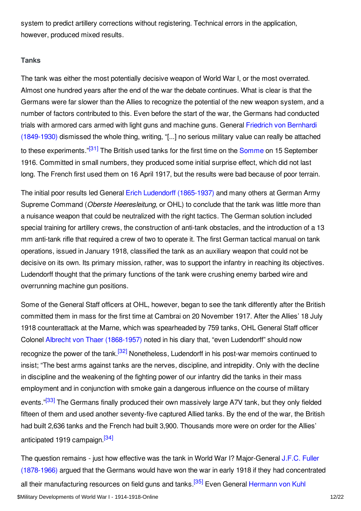system to predict artillery corrections without registering. Technical errors in the application, however, produced mixed results.

#### <span id="page-11-0"></span>**Tanks**

The tank was either the most potentially decisive weapon of World War I, or the most overrated. Almost one hundred years after the end of the war the debate continues. What is clear is that the Germans were far slower than the Allies to recognize the potential of the new weapon system, and a number of factors contributed to this. Even before the start of the war, the Germans had conducted trials with armored cars armed with light guns and machine guns. General Friedrich von Bernhardi [\(1849-1930\)](/index/names/118658468) dismissed the whole thing, writing, "[...] no serious military value can really be attached to these experiments."<sup>[\[31\]](#page-18-20)</sup> The British used tanks for the first time on the [Somme](/article/somme_battles_of) on 15 September 1916. Committed in small numbers, they produced some initial surprise effect, which did not last long. The French first used them on 16 April 1917, but the results were bad because of poor terrain.

<span id="page-11-1"></span>The initial poor results led General Erich Ludendorff [\(1865-1937\)](/index/names/118574841) and many others at German Army Supreme Command (*Oberste Heeresleitung*, or OHL) to conclude that the tank was little more than a nuisance weapon that could be neutralized with the right tactics. The German solution included special training for artillery crews, the construction of anti-tank obstacles, and the introduction of a 13 mm anti-tank rifle that required a crew of two to operate it. The first German tactical manual on tank operations, issued in January 1918, classified the tank as an auxiliary weapon that could not be decisive on its own. Its primary mission, rather, was to support the infantry in reaching its objectives. Ludendorff thought that the primary functions of the tank were crushing enemy barbed wire and overrunning machine gun positions.

<span id="page-11-2"></span>Some of the General Staff officers at OHL, however, began to see the tank differently after the British committed them in mass for the first time at Cambrai on 20 November 1917. After the Allies' 18 July 1918 counterattack at the Marne, which was spearheaded by 759 tanks, OHL General Staff officer Colonel Albrecht von Thaer [\(1868-1957\)](/index/names/120316080) noted in his diary that, "even Ludendorff" should now recognize the power of the tank.<sup>[\[32\]](#page-18-21)</sup> Nonetheless, Ludendorff in his post-war memoirs continued to insist; "The best arms against tanks are the nerves, discipline, and intrepidity. Only with the decline in discipline and the weakening of the fighting power of our infantry did the tanks in their mass employment and in conjunction with smoke gain a dangerous influence on the course of military events."<sup>[\[33\]](#page-18-22)</sup> The Germans finally produced their own massively large A7V tank, but they only fielded fifteen of them and used another seventy-five captured Allied tanks. By the end of the war, the British had built 2,636 tanks and the French had built 3,900. Thousands more were on order for the Allies' anticipated 1919 campaign.<sup>[\[34\]](#page-18-23)</sup>

<span id="page-11-5"></span><span id="page-11-4"></span><span id="page-11-3"></span>The question remains - just how effective was the tank in World War I? [Major-General](/index/names/119367696) J.F.C. Fuller (1878-1966) argued that the Germans would have won the war in early 1918 if they had concentrated all their [manufacturing](/index/names/116600691) resources on field guns and tanks.<sup>[\[35\]](#page-18-24)</sup> Even General Hermann von Kuhl \$Military Developments of World War I - 1914-1918-Online 1200 1200 1200 1200 1200 1200 12022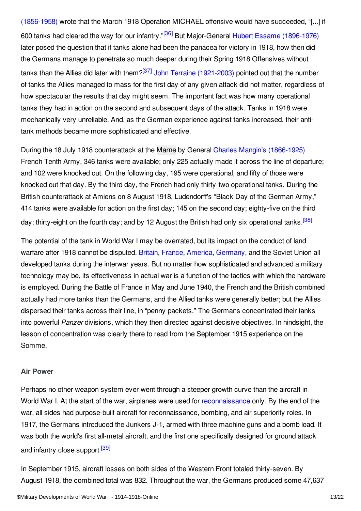<span id="page-12-2"></span><span id="page-12-1"></span>(1856-1958) wrote that the March 1918 Operation MICHAEL offensive would have succeeded, "[...] if 600 tanks had cleared the way for our infantry."<sup>[\[36\]](#page-19-1)</sup> But Major-General Hubert Essame [\(1896-1976\)](/index/names/1070606030) later posed the question that if tanks alone had been the panacea for victory in 1918, how then did the Germans manage to penetrate so much deeper during their Spring 1918 Offensives without tanks than the Allies did later with them?<sup>[\[37\]](#page-19-2)</sup> John Terraine [\(1921-2003\)](/index/names/103521427X) pointed out that the number of tanks the Allies managed to mass for the first day of any given attack did not matter, regardless of how spectacular the results that day might seem. The important fact was how many operational tanks they had in action on the second and subsequent days of the attack. Tanks in 1918 were mechanically very unreliable. And, as the German experience against tanks increased, their antitank methods became more sophisticated and effective.

During the 18 July 1918 counterattack at the [Marne](/article/marne_battles_of_the) by General Charles Mangin's [\(1866-1925\)](/index/names/119061007) French Tenth Army, 346 tanks were available; only 225 actually made it across the line of departure; and 102 were knocked out. On the following day, 195 were operational, and fifty of those were knocked out that day. By the third day, the French had only thirty-two operational tanks. During the British counterattack at Amiens on 8 August 1918, Ludendorff's "Black Day of the German Army," 414 tanks were available for action on the first day; 145 on the second day; eighty-five on the third day; thirty-eight on the fourth day; and by 12 August the British had only six operational tanks <sup>[\[38\]](#page-19-3)</sup>

<span id="page-12-3"></span>The potential of the tank in World War I may be overrated, but its impact on the conduct of land warfare after 1918 cannot be disputed. [Britain](/article/great_britain), [France](/article/france), [America](/article/united_states_of_america), [Germany](/article/germany), and the Soviet Union all developed tanks during the interwar years. But no matter how sophisticated and advanced a military technology may be, its effectiveness in actual war is a function of the tactics with which the hardware is employed. During the Battle of France in May and June 1940, the French and the British combined actually had more tanks than the Germans, and the Allied tanks were generally better; but the Allies dispersed their tanks across their line, in "penny packets." The Germans concentrated their tanks into powerful *Panzer* divisions, which they then directed against decisive objectives. In hindsight, the lesson of concentration was clearly there to read from the September 1915 experience on the Somme.

#### <span id="page-12-0"></span>**Air Power**

Perhaps no other weapon system ever went through a steeper growth curve than the aircraft in World War I. At the start of the war, airplanes were used for [reconnaissance](/article/reconnaissance_and_observation) only. By the end of the war, all sides had purpose-built aircraft for reconnaissance, bombing, and air superiority roles. In 1917, the Germans introduced the Junkers J-1, armed with three machine guns and a bomb load. It was both the world's first all-metal aircraft, and the first one specifically designed for ground attack and infantry close support.<sup>[\[39\]](#page-19-4)</sup>

<span id="page-12-4"></span>In September 1915, aircraft losses on both sides of the Western Front totaled thirty-seven. By August 1918, the combined total was 832. Throughout the war, the Germans produced some 47,637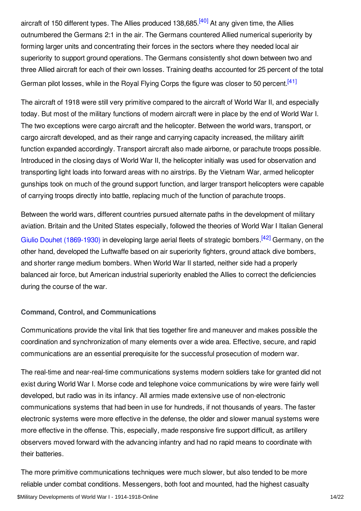<span id="page-13-1"></span>aircraft of 150 different types. The Allies produced 138,685.<sup>[\[40\]](#page-19-5)</sup> At any given time, the Allies outnumbered the Germans 2:1 in the air. The Germans countered Allied numerical superiority by forming larger units and concentrating their forces in the sectors where they needed local air superiority to support ground operations. The Germans consistently shot down between two and three Allied aircraft for each of their own losses. Training deaths accounted for 25 percent of the total German pilot losses, while in the Royal Flying Corps the figure was closer to 50 percent.<sup>[\[41\]](#page-19-6)</sup>

<span id="page-13-2"></span>The aircraft of 1918 were still very primitive compared to the aircraft of World War II, and especially today. But most of the military functions of modern aircraft were in place by the end of World War I. The two exceptions were cargo aircraft and the helicopter. Between the world wars, transport, or cargo aircraft developed, and as their range and carrying capacity increased, the military airlift function expanded accordingly. Transport aircraft also made airborne, or parachute troops possible. Introduced in the closing days of World War II, the helicopter initially was used for observation and transporting light loads into forward areas with no airstrips. By the Vietnam War, armed helicopter gunships took on much of the ground support function, and larger transport helicopters were capable of carrying troops directly into battle, replacing much of the function of parachute troops.

<span id="page-13-3"></span>Between the world wars, different countries pursued alternate paths in the development of military aviation. Britain and the United States especially, followed the theories of World War I Italian General Giulio Douhet [\(1869-1930\)](/index/names/119322048) in developing large aerial fleets of strategic bombers.<sup>[\[42\]](#page-19-7)</sup> Germany, on the other hand, developed the Luftwaffe based on air superiority fighters, ground attack dive bombers, and shorter range medium bombers. When World War II started, neither side had a properly balanced air force, but American industrial superiority enabled the Allies to correct the deficiencies during the course of the war.

#### <span id="page-13-0"></span>**Command, Control, and Communications**

Communications provide the vital link that ties together fire and maneuver and makes possible the coordination and synchronization of many elements over a wide area. Effective, secure, and rapid communications are an essential prerequisite for the successful prosecution of modern war.

The real-time and near-real-time communications systems modern soldiers take for granted did not exist during World War I. Morse code and telephone voice communications by wire were fairly well developed, but radio was in its infancy. All armies made extensive use of non-electronic communications systems that had been in use for hundreds, if not thousands of years. The faster electronic systems were more effective in the defense, the older and slower manual systems were more effective in the offense. This, especially, made responsive fire support difficult, as artillery observers moved forward with the advancing infantry and had no rapid means to coordinate with their batteries.

The more primitive communications techniques were much slower, but also tended to be more reliable under combat conditions. Messengers, both foot and mounted, had the highest casualty \$Military Developments of World War I - 1914-1918-Online 14/22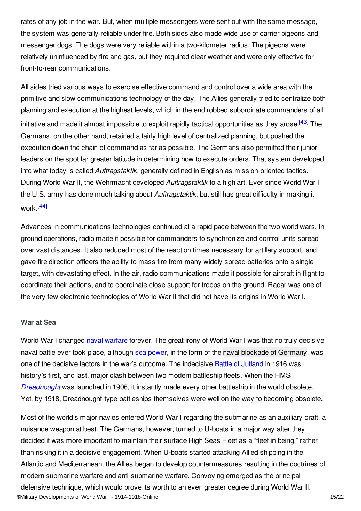rates of any job in the war. But, when multiple messengers were sent out with the same message, the system was generally reliable under fire. Both sides also made wide use of carrier pigeons and messenger dogs. The dogs were very reliable within a two-kilometer radius. The pigeons were relatively uninfluenced by fire and gas, but they required clear weather and were only effective for front-to-rear communications.

<span id="page-14-1"></span>All sides tried various ways to exercise effective command and control over a wide area with the primitive and slow communications technology of the day. The Allies generally tried to centralize both planning and execution at the highest levels, which in the end robbed subordinate commanders of all initiative and made it almost impossible to exploit rapidly tactical opportunities as they arose.<sup>[\[43\]](#page-19-8)</sup> The Germans, on the other hand, retained a fairly high level of centralized planning, but pushed the execution down the chain of command as far as possible. The Germans also permitted their junior leaders on the spot far greater latitude in determining how to execute orders. That system developed into what today is called *Auftragstaktik*, generally defined in English as mission-oriented tactics. During World War II, the Wehrmacht developed *Auftragstaktik* to a high art. Ever since World War II the U.S. army has done much talking about *Auftragstaktik*, but still has great difficulty in making it work.<sup>[\[44\]](#page-19-9)</sup>

<span id="page-14-2"></span>Advances in communications technologies continued at a rapid pace between the two world wars. In ground operations, radio made it possible for commanders to synchronize and control units spread over vast distances. It also reduced most of the reaction times necessary for artillery support, and gave fire direction officers the ability to mass fire from many widely spread batteries onto a single target, with devastating effect. In the air, radio communications made it possible for aircraft in flight to coordinate their actions, and to coordinate close support for troops on the ground. Radar was one of the very few electronic technologies of World War II that did not have its origins in World War I.

#### <span id="page-14-0"></span>**War at Sea**

World War I changed naval [warfare](/article/naval_warfare) forever. The great irony of World War I was that no truly decisive naval battle ever took place, although sea [power](/article/sea_power), in the form of the naval blockade of [Germany](/article/naval_blockade_of_germany), was one of the decisive factors in the war's outcome. The indecisive Battle of [Jutland](/article/jutland_battle_of) in 1916 was history's first, and last, major clash between two modern battleship fleets. When the HMS *[Dreadnought](/article/dreadnought_hms)* was launched in 1906, it instantly made every other battleship in the world obsolete. Yet, by 1918, Dreadnought-type battleships themselves were well on the way to becoming obsolete.

Most of the world's major navies entered World War I regarding the submarine as an auxiliary craft, a nuisance weapon at best. The Germans, however, turned to U-boats in a major way after they decided it was more important to maintain their surface High Seas Fleet as a "fleet in being," rather than risking it in a decisive engagement. When U-boats started attacking Allied shipping in the Atlantic and Mediterranean, the Allies began to develop countermeasures resulting in the doctrines of modern submarine warfare and anti-submarine warfare. Convoying emerged as the principal defensive technique, which would prove its worth to an even greater degree during World War II. \$Military Developments of World War I - 1914-1918-Online 150 and 150 and 150 and 15/22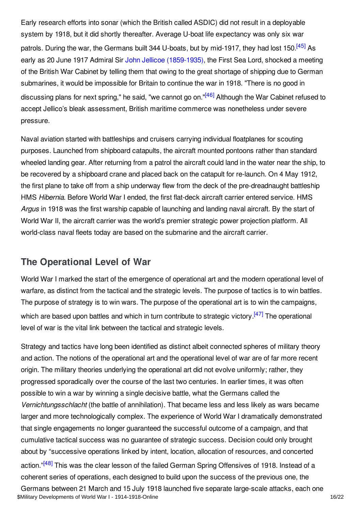<span id="page-15-1"></span>Early research efforts into sonar (which the British called ASDIC) did not result in a deployable system by 1918, but it did shortly thereafter. Average U-boat life expectancy was only six war patrols. During the war, the Germans built 344 U-boats, but by mid-1917, they had lost 150.<sup>[\[45\]](#page-19-10)</sup> As early as 20 June 1917 Admiral Sir John Jellicoe [\(1859-1935\)](/index/names/11877610X), the First Sea Lord, shocked a meeting of the British War Cabinet by telling them that owing to the great shortage of shipping due to German submarines, it would be impossible for Britain to continue the war in 1918. "There is no good in discussing plans for next spring," he said, "we cannot go on."<sup>[\[46\]](#page-19-11)</sup> Although the War Cabinet refused to accept Jellico's bleak assessment, British maritime commerce was nonetheless under severe pressure.

<span id="page-15-2"></span>Naval aviation started with battleships and cruisers carrying individual floatplanes for scouting purposes. Launched from shipboard catapults, the aircraft mounted pontoons rather than standard wheeled landing gear. After returning from a patrol the aircraft could land in the water near the ship, to be recovered by a shipboard crane and placed back on the catapult for re-launch. On 4 May 1912, the first plane to take off from a ship underway flew from the deck of the pre-dreadnaught battleship HMS *Hibernia*. Before World War I ended, the first flat-deck aircraft carrier entered service. HMS *Argus* in 1918 was the first warship capable of launching and landing naval aircraft. By the start of World War II, the aircraft carrier was the world's premier strategic power projection platform. All world-class naval fleets today are based on the submarine and the aircraft carrier.

### <span id="page-15-0"></span>**The Operational Level of War**

<span id="page-15-3"></span>World War I marked the start of the emergence of operational art and the modern operational level of warfare, as distinct from the tactical and the strategic levels. The purpose of tactics is to win battles. The purpose of strategy is to win wars. The purpose of the operational art is to win the campaigns, which are based upon battles and which in turn contribute to strategic victory.<sup>[\[47\]](#page-19-12)</sup> The operational level of war is the vital link between the tactical and strategic levels.

<span id="page-15-4"></span>Strategy and tactics have long been identified as distinct albeit connected spheres of military theory and action. The notions of the operational art and the operational level of war are of far more recent origin. The military theories underlying the operational art did not evolve uniformly; rather, they progressed sporadically over the course of the last two centuries. In earlier times, it was often possible to win a war by winning a single decisive battle, what the Germans called the *Vernichtungsschlacht* (the battle of annihilation). That became less and less likely as wars became larger and more technologically complex. The experience of World War I dramatically demonstrated that single engagements no longer guaranteed the successful outcome of a campaign, and that cumulative tactical success was no guarantee of strategic success. Decision could only brought about by "successive operations linked by intent, location, allocation of resources, and concerted action."<sup>[\[48\]](#page-19-13)</sup> This was the clear lesson of the failed German Spring Offensives of 1918. Instead of a coherent series of operations, each designed to build upon the success of the previous one, the Germans between 21 March and 15 July 1918 launched five separate large-scale attacks, each one \$Military Developments of World War I - 1914-1918-Online 16/22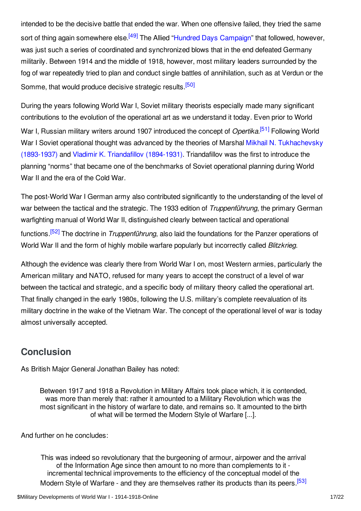<span id="page-16-1"></span>intended to be the decisive battle that ended the war. When one offensive failed, they tried the same sort of thing again somewhere else.<sup>[\[49\]](#page-19-14)</sup> The Allied "Hundred Days [Campaign](/article/hundred_days_offensive)" that followed, however, was just such a series of coordinated and synchronized blows that in the end defeated Germany militarily. Between 1914 and the middle of 1918, however, most military leaders surrounded by the fog of war repeatedly tried to plan and conduct single battles of annihilation, such as at Verdun or the Somme, that would produce decisive strategic results.<sup>[\[50\]](#page-19-15)</sup>

<span id="page-16-3"></span><span id="page-16-2"></span>During the years following World War I, Soviet military theorists especially made many significant contributions to the evolution of the operational art as we understand it today. Even prior to World War I, Russian military writers around 1907 introduced the concept of *Opertika*.<sup>[\[51\]](#page-19-16)</sup> Following World War I Soviet operational thought was advanced by the theories of Marshal Mikhail N. [Tukhachevsky](/index/names/118763091) (1893-1937) and Vladimir K. Triandafillov [\(1894-1931\)](/index/names/119462974). Triandafillov was the first to introduce the planning "norms" that became one of the benchmarks of Soviet operational planning during World War II and the era of the Cold War.

The post-World War I German army also contributed significantly to the understanding of the level of war between the tactical and the strategic. The 1933 edition of *Truppenführung*, the primary German warfighting manual of World War II, distinguished clearly between tactical and operational functions. [\[52\]](#page-19-17) The doctrine in *Truppenführung*, also laid the foundations for the Panzer operations of World War II and the form of highly mobile warfare popularly but incorrectly called *Blitzkrieg*.

<span id="page-16-4"></span>Although the evidence was clearly there from World War I on, most Western armies, particularly the American military and NATO, refused for many years to accept the construct of a level of war between the tactical and strategic, and a specific body of military theory called the operational art. That finally changed in the early 1980s, following the U.S. military's complete reevaluation of its military doctrine in the wake of the Vietnam War. The concept of the operational level of war is today almost universally accepted.

# <span id="page-16-0"></span>**Conclusion**

As British Major General Jonathan Bailey has noted:

Between 1917 and 1918 a Revolution in Military Affairs took place which, it is contended, was more than merely that: rather it amounted to a Military Revolution which was the most significant in the history of warfare to date, and remains so. It amounted to the birth of what will be termed the Modern Style of Warfare [...].

And further on he concludes:

<span id="page-16-5"></span>This was indeed so revolutionary that the burgeoning of armour, airpower and the arrival of the Information Age since then amount to no more than complements to it incremental technical improvements to the efficiency of the conceptual model of the Modern Style of Warfare - and they are themselves rather its products than its peers [\[53\]](#page-19-18)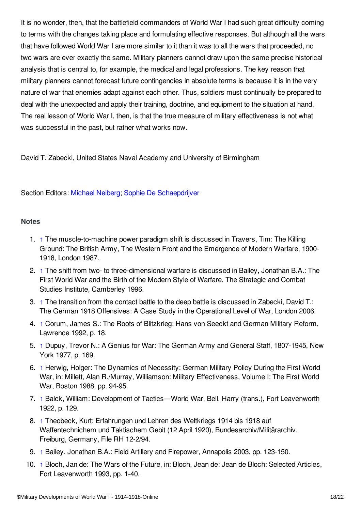It is no wonder, then, that the battlefield commanders of World War I had such great difficulty coming to terms with the changes taking place and formulating effective responses. But although all the wars that have followed World War I are more similar to it than it was to all the wars that proceeded, no two wars are ever exactly the same. Military planners cannot draw upon the same precise historical analysis that is central to, for example, the medical and legal professions. The key reason that military planners cannot forecast future contingencies in absolute terms is because it is in the very nature of war that enemies adapt against each other. Thus, soldiers must continually be prepared to deal with the unexpected and apply their training, doctrine, and equipment to the situation at hand. The real lesson of World War I, then, is that the true measure of military effectiveness is not what was successful in the past, but rather what works now.

David T. Zabecki, United States Naval Academy and University of Birmingham

### Section Editors: [Michael](https://encyclopedia.1914-1918-online.net/contributors/Michael_Neiberg) Neiberg; Sophie De [Schaepdrijver](https://encyclopedia.1914-1918-online.net/contributors/Sophie_De_Schaepdrijver)

#### <span id="page-17-0"></span>**Notes**

- <span id="page-17-1"></span>1. [↑](#page-2-0) The muscle-to-machine power paradigm shift is discussed in Travers, Tim: The Killing Ground: The British Army, The Western Front and the Emergence of Modern Warfare, 1900- 1918, London 1987.
- <span id="page-17-2"></span>2. [↑](#page-2-1) The shift from two- to three-dimensional warfare is discussed in Bailey, Jonathan B.A.: The First World War and the Birth of the Modern Style of Warfare, The Strategic and Combat Studies Institute, Camberley 1996.
- <span id="page-17-3"></span>3. [↑](#page-2-2) The transition from the contact battle to the deep battle is discussed in Zabecki, David T.: The German 1918 Offensives: A Case Study in the Operational Level of War, London 2006.
- <span id="page-17-4"></span>4. [↑](#page-3-2) Corum, James S.: The Roots of Blitzkrieg: Hans von Seeckt and German Military Reform, Lawrence 1992, p. 18.
- <span id="page-17-5"></span>5. [↑](#page-3-3) Dupuy, Trevor N.: A Genius for War: The German Army and General Staff, 1807-1945, New York 1977, p. 169.
- <span id="page-17-6"></span>6. [↑](#page-3-4) Herwig, Holger: The Dynamics of Necessity: German Military Policy During the First World War, in: Millett, Alan R./Murray, Williamson: Military Effectiveness, Volume I: The First World War, Boston 1988, pp. 94-95.
- <span id="page-17-7"></span>7. [↑](#page-3-5) Balck, William: Development of Tactics—World War, Bell, Harry (trans.), Fort Leavenworth 1922, p. 129.
- <span id="page-17-8"></span>8. [↑](#page-3-6) Theobeck, Kurt: Erfahrungen und Lehren des Weltkriegs 1914 bis 1918 auf Waffentechnichem und Taktischem Gebit (12 April 1920), Bundesarchiv/Militärarchiv, Freiburg, Germany, File RH 12-2/94.
- <span id="page-17-9"></span>9. [↑](#page-4-2) Bailey, Jonathan B.A.: Field Artillery and Firepower, Annapolis 2003, pp. 123-150.
- <span id="page-17-10"></span>10. [↑](#page-4-3) Bloch, Jan de: The Wars of the Future, in: Bloch, Jean de: Jean de Bloch: Selected Articles, Fort Leavenworth 1993, pp. 1-40.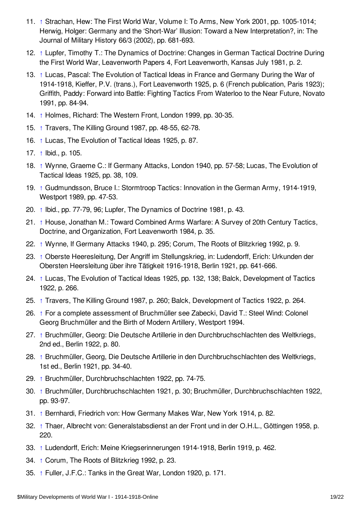- <span id="page-18-0"></span>11. [↑](#page-5-0) Strachan, Hew: The First World War, Volume I: To Arms, New York 2001, pp. 1005-1014; Herwig, Holger: Germany and the 'Short-War' Illusion: Toward a New Interpretation?, in: The Journal of Military History 66/3 (2002), pp. 681-693.
- <span id="page-18-1"></span>12. [↑](#page-5-1) Lupfer, Timothy T.: The Dynamics of Doctrine: Changes in German Tactical Doctrine During the First World War, Leavenworth Papers 4, Fort Leavenworth, Kansas July 1981, p. 2.
- <span id="page-18-2"></span>13. [↑](#page-5-2) Lucas, Pascal: The Evolution of Tactical Ideas in France and Germany During the War of 1914-1918, Kieffer, P.V. (trans.), Fort Leavenworth 1925, p. 6 (French publication, Paris 1923); Griffith, Paddy: Forward into Battle: Fighting Tactics From Waterloo to the Near Future, Novato 1991, pp. 84-94.
- <span id="page-18-3"></span>14. [↑](#page-5-3) Holmes, Richard: The Western Front, London 1999, pp. 30-35.
- <span id="page-18-4"></span>15. [↑](#page-6-0) Travers, The Killing Ground 1987, pp. 48-55, 62-78.
- <span id="page-18-5"></span>16. [↑](#page-6-1) Lucas, The Evolution of Tactical Ideas 1925, p. 87.
- <span id="page-18-6"></span>17. [↑](#page-7-1) Ibid., p. 105.
- <span id="page-18-7"></span>18. [↑](#page-7-2) Wynne, Graeme C.: If Germany Attacks, London 1940, pp. 57-58; Lucas, The Evolution of Tactical Ideas 1925, pp. 38, 109.
- <span id="page-18-8"></span>19. [↑](#page-7-3) Gudmundsson, Bruce I.: Stormtroop Tactics: Innovation in the German Army, 1914-1919, Westport 1989, pp. 47-53.
- <span id="page-18-9"></span>20. [↑](#page-7-4) Ibid., pp. 77-79, 96; Lupfer, The Dynamics of Doctrine 1981, p. 43.
- <span id="page-18-10"></span>21. [↑](#page-7-5) House, Jonathan M.: Toward Combined Arms Warfare: A Survey of 20th Century Tactics, Doctrine, and Organization, Fort Leavenworth 1984, p. 35.
- <span id="page-18-11"></span>22. [↑](#page-7-6) Wynne, If Germany Attacks 1940, p. 295; Corum, The Roots of Blitzkrieg 1992, p. 9.
- <span id="page-18-12"></span>23. [↑](#page-8-1) Oberste Heeresleitung, Der Angriff im Stellungskrieg, in: Ludendorff, Erich: Urkunden der Obersten Heersleitung über ihre Tätigkeit 1916-1918, Berlin 1921, pp. 641-666.
- <span id="page-18-13"></span>24. [↑](#page-8-2) Lucas, The Evolution of Tactical Ideas 1925, pp. 132, 138; Balck, Development of Tactics 1922, p. 266.
- <span id="page-18-14"></span>25. [↑](#page-8-3) Travers, The Killing Ground 1987, p. 260; Balck, Development of Tactics 1922, p. 264.
- <span id="page-18-15"></span>26. [↑](#page-9-0) For a complete assessment of Bruchmüller see Zabecki, David T.: Steel Wind: Colonel Georg Bruchmüller and the Birth of Modern Artillery, Westport 1994.
- <span id="page-18-16"></span>27. [↑](#page-9-1) Bruchmüller, Georg: Die Deutsche Artillerie in den Durchbruchschlachten des Weltkriegs, 2nd ed., Berlin 1922, p. 80.
- <span id="page-18-17"></span>28. [↑](#page-9-2) Bruchmüller, Georg, Die Deutsche Artillerie in den Durchbruchschlachten des Weltkriegs, 1st ed., Berlin 1921, pp. 34-40.
- <span id="page-18-18"></span>29. [↑](#page-9-3) Bruchmüller, Durchbruchschlachten 1922, pp. 74-75.
- <span id="page-18-19"></span>30. [↑](#page-10-0) Bruchmüller, Durchbruchschlachten 1921, p. 30; Bruchmüller, Durchbruchschlachten 1922, pp. 93-97.
- <span id="page-18-20"></span>31. [↑](#page-11-1) Bernhardi, Friedrich von: How Germany Makes War, New York 1914, p. 82.
- <span id="page-18-21"></span>32. [↑](#page-11-2) Thaer, Albrecht von: Generalstabsdienst an der Front und in der O.H.L., Göttingen 1958, p. 220.
- <span id="page-18-22"></span>33. [↑](#page-11-3) Ludendorff, Erich: Meine Kriegserinnerungen 1914-1918, Berlin 1919, p. 462.
- <span id="page-18-23"></span>34. [↑](#page-11-4) Corum, The Roots of Blitzkrieg 1992, p. 23.
- <span id="page-18-24"></span>35. [↑](#page-11-5) Fuller, J.F.C.: Tanks in the Great War, London 1920, p. 171.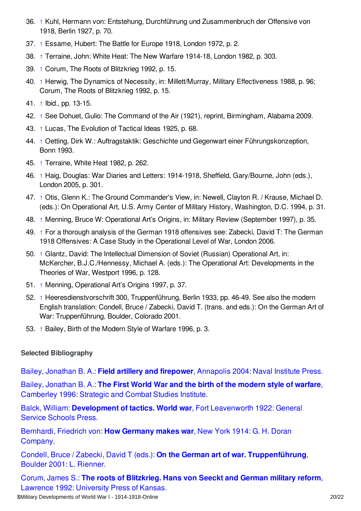- <span id="page-19-1"></span>36. [↑](#page-12-1) Kuhl, Hermann von: Entstehung, Durchführung und Zusammenbruch der Offensive von 1918, Berlin 1927, p. 70.
- <span id="page-19-2"></span>37. [↑](#page-12-2) Essame, Hubert: The Battle for Europe 1918, London 1972, p. 2.
- <span id="page-19-3"></span>38. [↑](#page-12-3) Terraine, John: White Heat: The New Warfare 1914-18, London 1982, p. 303.
- <span id="page-19-4"></span>39. [↑](#page-12-4) Corum, The Roots of Blitzkrieg 1992, p. 15.
- <span id="page-19-5"></span>40. [↑](#page-13-1) Herwig, The Dynamics of Necessity, in: Millett/Murray, Military Effectiveness 1988, p. 96; Corum, The Roots of Blitzkrieg 1992, p. 15.
- <span id="page-19-6"></span>41. [↑](#page-13-2) Ibid., pp. 13-15.
- <span id="page-19-7"></span>42. [↑](#page-13-3) See Dohuet, Gulio: The Command of the Air (1921), reprint, Birmingham, Alabama 2009.
- <span id="page-19-8"></span>43. [↑](#page-14-1) Lucas, The Evolution of Tactical Ideas 1925, p. 68.
- <span id="page-19-9"></span>44. [↑](#page-14-2) Oetting, Dirk W.: Auftragstaktik: Geschichte und Gegenwart einer Führungskonzeption, Bonn 1993.
- <span id="page-19-10"></span>45. [↑](#page-15-1) Terraine, White Heat 1982, p. 262.
- <span id="page-19-11"></span>46. [↑](#page-15-2) Haig, Douglas: War Diaries and Letters: 1914-1918, Sheffield, Gary/Bourne, John (eds.), London 2005, p. 301.
- <span id="page-19-12"></span>47. [↑](#page-15-3) Otis, Glenn K.: The Ground Commander's View, in: Newell, Clayton R. / Krause, Michael D. (eds.): On Operational Art, U.S. Army Center of Military History, Washington, D.C. 1994, p. 31.
- <span id="page-19-13"></span>48. [↑](#page-15-4) Menning, Bruce W: Operational Art's Origins, in: Military Review (September 1997), p. 35.
- <span id="page-19-14"></span>49. [↑](#page-16-1) For a thorough analysis of the German 1918 offensives see: Zabecki, David T: The German 1918 Offensives: A Case Study in the Operational Level of War, London 2006.
- <span id="page-19-15"></span>50. [↑](#page-16-2) Glantz, David: The Intellectual Dimension of Soviet (Russian) Operational Art, in: McKercher, B.J.C./Hennessy, Michael A. (eds.): The Operational Art: Developments in the Theories of War, Westport 1996, p. 128.
- <span id="page-19-16"></span>51. [↑](#page-16-3) Menning, Operational Art's Origins 1997, p. 37.
- <span id="page-19-17"></span>52. [↑](#page-16-4) Heeresdienstvorschrift 300, Truppenführung, Berlin 1933, pp. 46-49. See also the modern English translation: Condell, Bruce / Zabecki, David T. (trans. and eds.): On the German Art of War: Truppenführung, Boulder, Colorado 2001.
- <span id="page-19-18"></span>53. [↑](#page-16-5) Bailey, Birth of the Modern Style of Warfare 1996, p. 3.

### <span id="page-19-0"></span>**Selected Bibliography**

Bailey, Jonathan B. A.: **Field artillery and firepower**, [Annapolis](https://encyclopedia.1914-1918-online.net/bibliography/74K7WFWD) 2004: Naval Institute Press.

Bailey, Jonathan B. A.: **The First World War and the birth of the modern style of warfare**, [Camberley](https://encyclopedia.1914-1918-online.net/bibliography/WED8UTZT) 1996: Strategic and Combat Studies Institute.

Balck, William: **[Development](https://encyclopedia.1914-1918-online.net/bibliography/ZPJENK3K) of tactics. World war**, Fort Leavenworth 1922: General Service Schools Press.

[Bernhardi,](https://encyclopedia.1914-1918-online.net/bibliography/UXEGFVE5) Friedrich von: **How Germany makes war**, New York 1914: G. H. Doran Company.

Condell, Bruce / Zabecki, David T (eds.): **On the German art of war. [Truppenführung](https://encyclopedia.1914-1918-online.net/bibliography/NVNII5TW)**, Boulder 2001: L. Rienner.

Corum, James S.: **The roots of [Blitzkrieg.](https://encyclopedia.1914-1918-online.net/bibliography/35AES8RN) Hans von Seeckt and German military reform**, Lawrence 1992: University Press of Kansas.

\$Military Developments of World War I - 1914-1918-Online 20022